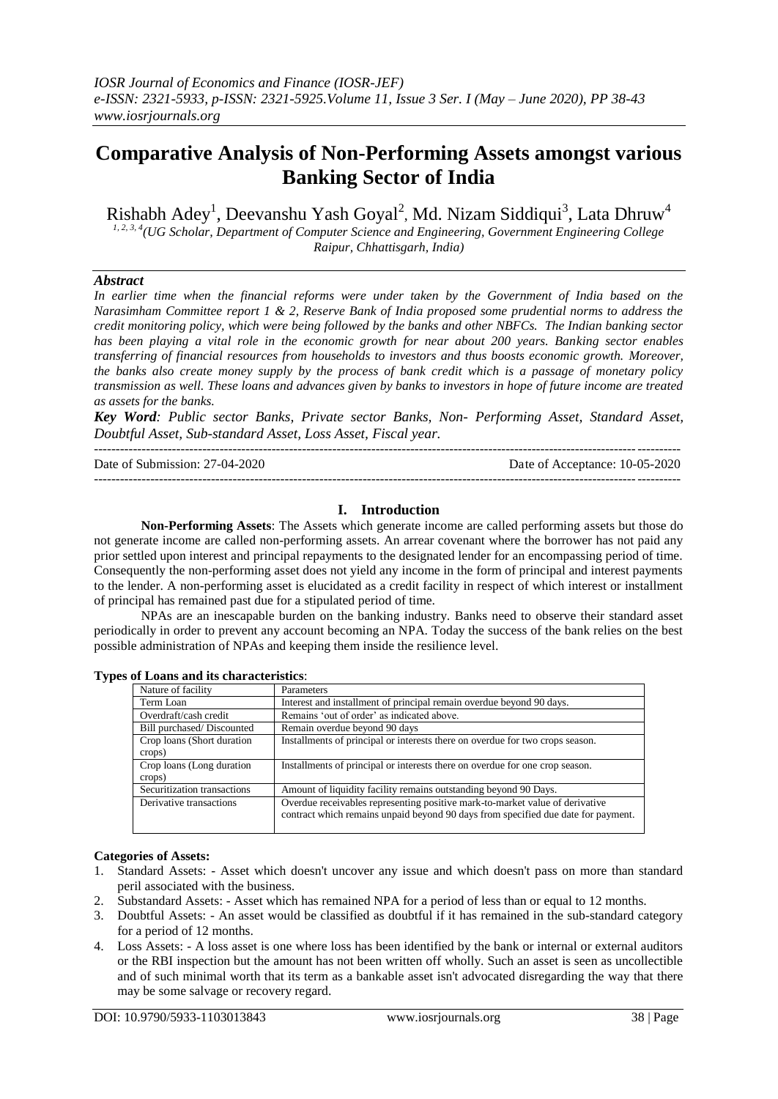# **Comparative Analysis of Non-Performing Assets amongst various Banking Sector of India**

Rishabh Adey<sup>1</sup>, Deevanshu Yash Goyal<sup>2</sup>, Md. Nizam Siddiqui<sup>3</sup>, Lata Dhruw<sup>4</sup>

*1, 2, 3, 4(UG Scholar, Department of Computer Science and Engineering, Government Engineering College Raipur, Chhattisgarh, India)*

# *Abstract*

*In earlier time when the financial reforms were under taken by the Government of India based on the Narasimham Committee report 1 & 2, Reserve Bank of India proposed some prudential norms to address the credit monitoring policy, which were being followed by the banks and other NBFCs. The Indian banking sector has been playing a vital role in the economic growth for near about 200 years. Banking sector enables transferring of financial resources from households to investors and thus boosts economic growth. Moreover, the banks also create money supply by the process of bank credit which is a passage of monetary policy transmission as well. These loans and advances given by banks to investors in hope of future income are treated as assets for the banks.*

*Key Word: Public sector Banks, Private sector Banks, Non- Performing Asset, Standard Asset, Doubtful Asset, Sub-standard Asset, Loss Asset, Fiscal year.* ---------------------------------------------------------------------------------------------------------------------------------------

Date of Submission: 27-04-2020 Date of Acceptance: 10-05-2020 ---------------------------------------------------------------------------------------------------------------------------------------

# **I. Introduction**

**Non-Performing Assets**: The Assets which generate income are called performing assets but those do not generate income are called non-performing assets. An arrear covenant where the borrower has not paid any prior settled upon interest and principal repayments to the designated lender for an encompassing period of time. Consequently the non-performing asset does not yield any income in the form of principal and interest payments to the lender. A non-performing asset is elucidated as a credit facility in respect of which interest or installment of principal has remained past due for a stipulated period of time.

NPAs are an inescapable burden on the banking industry. Banks need to observe their standard asset periodically in order to prevent any account becoming an NPA. Today the success of the bank relies on the best possible administration of NPAs and keeping them inside the resilience level.

| Nature of facility                   | Parameters                                                                                                                                                        |
|--------------------------------------|-------------------------------------------------------------------------------------------------------------------------------------------------------------------|
| Term Loan                            | Interest and installment of principal remain overdue beyond 90 days.                                                                                              |
| Overdraft/cash credit                | Remains 'out of order' as indicated above.                                                                                                                        |
| Bill purchased/Discounted            | Remain overdue beyond 90 days                                                                                                                                     |
| Crop loans (Short duration<br>crops) | Installments of principal or interests there on overdue for two crops season.                                                                                     |
| Crop loans (Long duration)<br>crops) | Installments of principal or interests there on overdue for one crop season.                                                                                      |
| Securitization transactions          | Amount of liquidity facility remains outstanding beyond 90 Days.                                                                                                  |
| Derivative transactions              | Overdue receivables representing positive mark-to-market value of derivative<br>contract which remains unpaid beyond 90 days from specified due date for payment. |

**Types of Loans and its characteristics**:

## **Categories of Assets:**

- 1. Standard Assets: Asset which doesn't uncover any issue and which doesn't pass on more than standard peril associated with the business.
- 2. Substandard Assets: Asset which has remained NPA for a period of less than or equal to 12 months.
- 3. Doubtful Assets: An asset would be classified as doubtful if it has remained in the sub-standard category for a period of 12 months.
- 4. Loss Assets: A loss asset is one where loss has been identified by the bank or internal or external auditors or the RBI inspection but the amount has not been written off wholly. Such an asset is seen as uncollectible and of such minimal worth that its term as a bankable asset isn't advocated disregarding the way that there may be some salvage or recovery regard.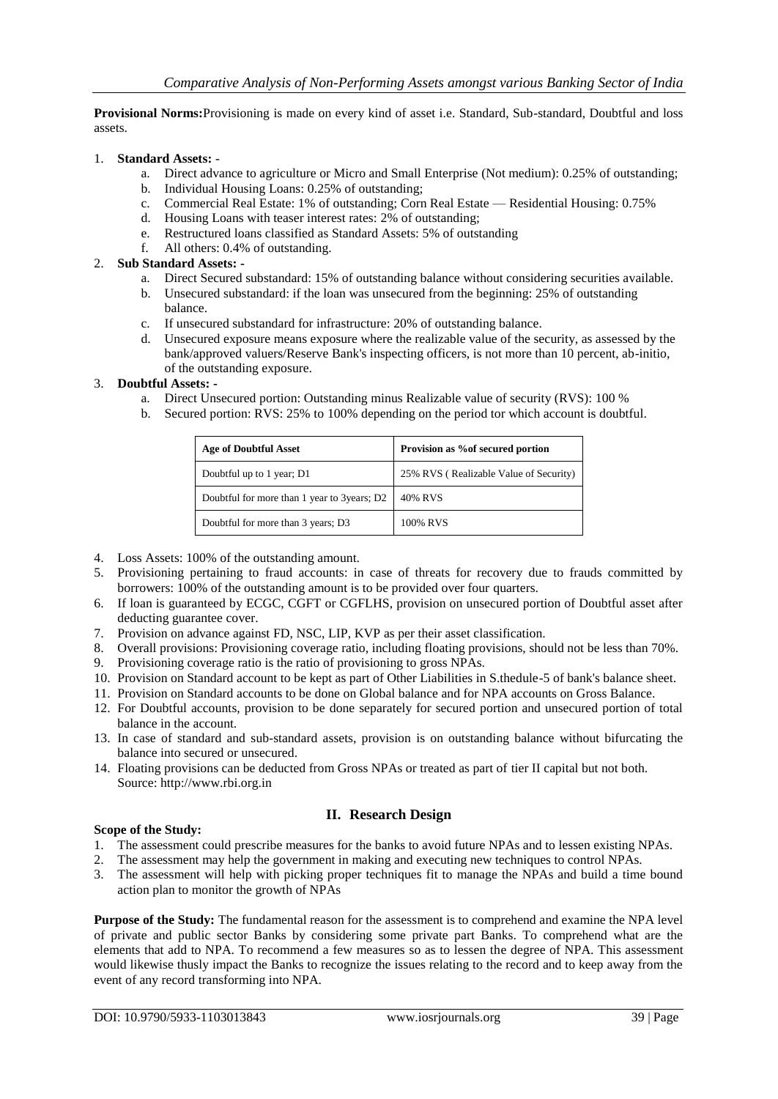**Provisional Norms:**Provisioning is made on every kind of asset i.e. Standard, Sub-standard, Doubtful and loss assets.

## 1. **Standard Assets:** -

- a. Direct advance to agriculture or Micro and Small Enterprise (Not medium): 0.25% of outstanding;
- b. Individual Housing Loans: 0.25% of outstanding;
- c. Commercial Real Estate: 1% of outstanding; Corn Real Estate Residential Housing: 0.75%
- d. Housing Loans with teaser interest rates:  $2\%$  of outstanding;<br>e. Restructured loans classified as Standard Assets: 5% of outst
- e. Restructured loans classified as Standard Assets: 5% of outstanding
- All others: 0.4% of outstanding.

# 2. **Sub Standard Assets: -**

- a. Direct Secured substandard: 15% of outstanding balance without considering securities available.
- b. Unsecured substandard: if the loan was unsecured from the beginning: 25% of outstanding balance.
- c. If unsecured substandard for infrastructure: 20% of outstanding balance.
- d. Unsecured exposure means exposure where the realizable value of the security, as assessed by the bank/approved valuers/Reserve Bank's inspecting officers, is not more than 10 percent, ab-initio, of the outstanding exposure.

## 3. **Doubtful Assets: -**

- a. Direct Unsecured portion: Outstanding minus Realizable value of security (RVS): 100 %
- b. Secured portion: RVS: 25% to 100% depending on the period tor which account is doubtful.

| <b>Age of Doubtful Asset</b>                | Provision as % of secured portion      |  |  |  |  |
|---------------------------------------------|----------------------------------------|--|--|--|--|
| Doubtful up to 1 year; D1                   | 25% RVS (Realizable Value of Security) |  |  |  |  |
| Doubtful for more than 1 year to 3years; D2 | 40% RVS                                |  |  |  |  |
| Doubtful for more than 3 years; D3          | 100% RVS                               |  |  |  |  |

- 4. Loss Assets: 100% of the outstanding amount.
- 5. Provisioning pertaining to fraud accounts: in case of threats for recovery due to frauds committed by borrowers: 100% of the outstanding amount is to be provided over four quarters.
- 6. If loan is guaranteed by ECGC, CGFT or CGFLHS, provision on unsecured portion of Doubtful asset after deducting guarantee cover.
- 7. Provision on advance against FD, NSC, LIP, KVP as per their asset classification.
- 8. Overall provisions: Provisioning coverage ratio, including floating provisions, should not be less than 70%.
- 9. Provisioning coverage ratio is the ratio of provisioning to gross NPAs.
- 10. Provision on Standard account to be kept as part of Other Liabilities in S.thedule-5 of bank's balance sheet.
- 11. Provision on Standard accounts to be done on Global balance and for NPA accounts on Gross Balance.
- 12. For Doubtful accounts, provision to be done separately for secured portion and unsecured portion of total balance in the account.
- 13. In case of standard and sub-standard assets, provision is on outstanding balance without bifurcating the balance into secured or unsecured.
- 14. Floating provisions can be deducted from Gross NPAs or treated as part of tier II capital but not both. Source: http://www.rbi.org.in

## **II. Research Design**

## **Scope of the Study:**

- 1. The assessment could prescribe measures for the banks to avoid future NPAs and to lessen existing NPAs.
- 2. The assessment may help the government in making and executing new techniques to control NPAs.
- 3. The assessment will help with picking proper techniques fit to manage the NPAs and build a time bound action plan to monitor the growth of NPAs

**Purpose of the Study:** The fundamental reason for the assessment is to comprehend and examine the NPA level of private and public sector Banks by considering some private part Banks. To comprehend what are the elements that add to NPA. To recommend a few measures so as to lessen the degree of NPA. This assessment would likewise thusly impact the Banks to recognize the issues relating to the record and to keep away from the event of any record transforming into NPA.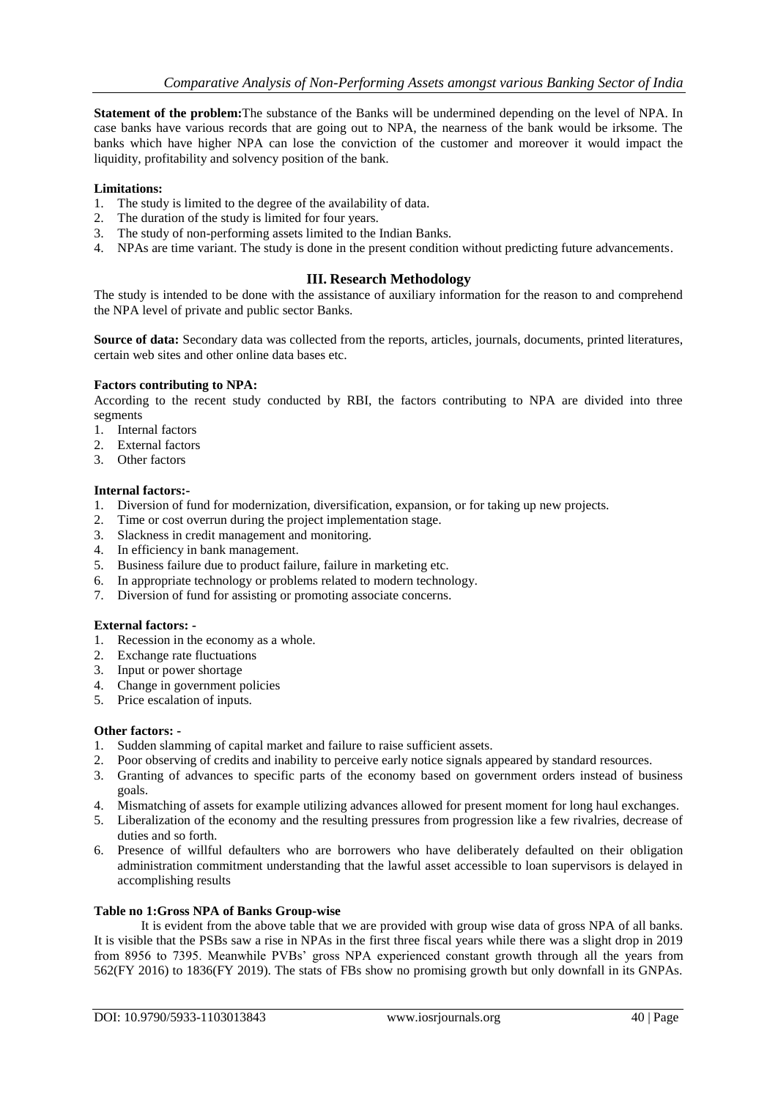**Statement of the problem:**The substance of the Banks will be undermined depending on the level of NPA. In case banks have various records that are going out to NPA, the nearness of the bank would be irksome. The banks which have higher NPA can lose the conviction of the customer and moreover it would impact the liquidity, profitability and solvency position of the bank.

## **Limitations:**

- 1. The study is limited to the degree of the availability of data.
- 2. The duration of the study is limited for four years.
- 3. The study of non-performing assets limited to the Indian Banks.
- 4. NPAs are time variant. The study is done in the present condition without predicting future advancements.

# **III. Research Methodology**

The study is intended to be done with the assistance of auxiliary information for the reason to and comprehend the NPA level of private and public sector Banks.

**Source of data:** Secondary data was collected from the reports, articles, journals, documents, printed literatures, certain web sites and other online data bases etc.

## **Factors contributing to NPA:**

According to the recent study conducted by RBI, the factors contributing to NPA are divided into three segments

- 1. Internal factors
- 2. External factors
- 3. Other factors

## **Internal factors:-**

- 1. Diversion of fund for modernization, diversification, expansion, or for taking up new projects.
- 2. Time or cost overrun during the project implementation stage.
- 3. Slackness in credit management and monitoring.
- 4. In efficiency in bank management.
- 5. Business failure due to product failure, failure in marketing etc.
- 6. In appropriate technology or problems related to modern technology.
- 7. Diversion of fund for assisting or promoting associate concerns.

## **External factors: -**

- 1. Recession in the economy as a whole.
- 2. Exchange rate fluctuations
- 3. Input or power shortage
- 4. Change in government policies
- 5. Price escalation of inputs.

## **Other factors: -**

- 1. Sudden slamming of capital market and failure to raise sufficient assets.
- 2. Poor observing of credits and inability to perceive early notice signals appeared by standard resources.
- 3. Granting of advances to specific parts of the economy based on government orders instead of business goals.
- 4. Mismatching of assets for example utilizing advances allowed for present moment for long haul exchanges.
- 5. Liberalization of the economy and the resulting pressures from progression like a few rivalries, decrease of duties and so forth.
- 6. Presence of willful defaulters who are borrowers who have deliberately defaulted on their obligation administration commitment understanding that the lawful asset accessible to loan supervisors is delayed in accomplishing results

## **Table no 1:Gross NPA of Banks Group-wise**

It is evident from the above table that we are provided with group wise data of gross NPA of all banks. It is visible that the PSBs saw a rise in NPAs in the first three fiscal years while there was a slight drop in 2019 from 8956 to 7395. Meanwhile PVBs' gross NPA experienced constant growth through all the years from 562(FY 2016) to 1836(FY 2019). The stats of FBs show no promising growth but only downfall in its GNPAs.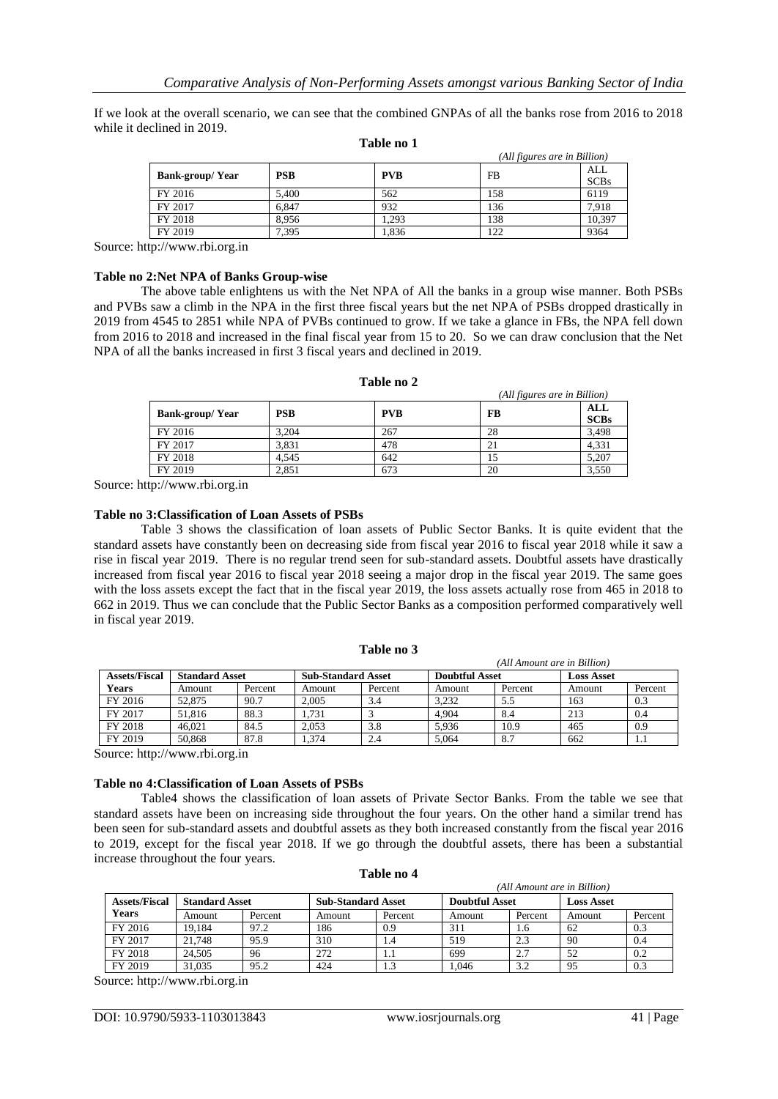If we look at the overall scenario, we can see that the combined GNPAs of all the banks rose from 2016 to 2018 while it declined in 2019.

|                        |            |            |           | (All figures are in Billion) |
|------------------------|------------|------------|-----------|------------------------------|
|                        | <b>PSB</b> | <b>PVB</b> | <b>FB</b> | ALL                          |
| <b>Bank-group/Year</b> |            |            |           | <b>SCBs</b>                  |
| FY 2016                | 5.400      | 562        | 158       | 6119                         |
| FY 2017                | 6.847      | 932        | 136       | 7,918                        |
| FY 2018                | 8.956      | .293       | 138       | 10.397                       |
| FY 2019                | 7,395      | . 836      | 122       | 9364                         |

#### **Table no 1**

Source: http://www.rbi.org.in

#### **Table no 2:Net NPA of Banks Group-wise**

The above table enlightens us with the Net NPA of All the banks in a group wise manner. Both PSBs and PVBs saw a climb in the NPA in the first three fiscal years but the net NPA of PSBs dropped drastically in 2019 from 4545 to 2851 while NPA of PVBs continued to grow. If we take a glance in FBs, the NPA fell down from 2016 to 2018 and increased in the final fiscal year from 15 to 20. So we can draw conclusion that the Net NPA of all the banks increased in first 3 fiscal years and declined in 2019.

|                        |            |            |           | (All figures are in Billion) |
|------------------------|------------|------------|-----------|------------------------------|
| <b>Bank-group/Year</b> | <b>PSB</b> | <b>PVB</b> | <b>FB</b> | ALL<br><b>SCBs</b>           |
| FY 2016                | 3.204      | 267        | 28        | 3,498                        |
| FY 2017                | 3.831      | 478        | 21        | 4.331                        |
| FY 2018                | 4.545      | 642        | 15        | 5.207                        |
| FY 2019                | 2.851      | 673        | 20        | 3,550                        |

#### **Table no 2**

Source: http://www.rbi.org.in

#### **Table no 3:Classification of Loan Assets of PSBs**

Table 3 shows the classification of loan assets of Public Sector Banks. It is quite evident that the standard assets have constantly been on decreasing side from fiscal year 2016 to fiscal year 2018 while it saw a rise in fiscal year 2019. There is no regular trend seen for sub-standard assets. Doubtful assets have drastically increased from fiscal year 2016 to fiscal year 2018 seeing a major drop in the fiscal year 2019. The same goes with the loss assets except the fact that in the fiscal year 2019, the loss assets actually rose from 465 in 2018 to 662 in 2019. Thus we can conclude that the Public Sector Banks as a composition performed comparatively well in fiscal year 2019.

|                      | ети ттоши иге и ришли |         |                           |         |                       |         |                   |         |
|----------------------|-----------------------|---------|---------------------------|---------|-----------------------|---------|-------------------|---------|
| <b>Assets/Fiscal</b> | <b>Standard Asset</b> |         | <b>Sub-Standard Asset</b> |         | <b>Doubtful Asset</b> |         | <b>Loss Asset</b> |         |
| Years                | Amount                | Percent | Amount                    | Percent | Amount                | Percent | Amount            | Percent |
| FY 2016              | 52.875                | 90.7    | 2.005                     | 3.4     | 3.232                 | 5.5     | 163               | 0.3     |
| FY 2017              | 51.816                | 88.3    | .731                      |         | 4.904                 | 8.4     | 213               | 0.4     |
| FY 2018              | 46.021                | 84.5    | 2.053                     | 3.8     | 5.936                 | 10.9    | 465               | 0.9     |
| FY 2019              | 50.868                | 87.8    | .374                      | 2.4     | 5.064                 | 8.7     | 662               | 1.1     |

**Table no 3**

*(All Amount are in Billion)*

Source: http://www.rbi.org.in

#### **Table no 4:Classification of Loan Assets of PSBs**

Table4 shows the classification of loan assets of Private Sector Banks. From the table we see that standard assets have been on increasing side throughout the four years. On the other hand a similar trend has been seen for sub-standard assets and doubtful assets as they both increased constantly from the fiscal year 2016 to 2019, except for the fiscal year 2018. If we go through the doubtful assets, there has been a substantial increase throughout the four years.

|                      | (All Amount are in Billion) |         |                           |         |                       |         |                   |         |
|----------------------|-----------------------------|---------|---------------------------|---------|-----------------------|---------|-------------------|---------|
| <b>Assets/Fiscal</b> | <b>Standard Asset</b>       |         | <b>Sub-Standard Asset</b> |         | <b>Doubtful Asset</b> |         | <b>Loss Asset</b> |         |
| Years                | Amount                      | Percent | Amount                    | Percent | Amount                | Percent | Amount            | Percent |
| FY 2016              | 19.184                      | 97.2    | 186                       | 0.9     | 311                   | 1.6     | 62                | 0.3     |
| FY 2017              | 21.748                      | 95.9    | 310                       | 1.4     | 519                   | 2.3     | 90                | 0.4     |
| FY 2018              | 24.505                      | 96      | 272                       | 1.1     | 699                   | 2.7     | 52                | 0.2     |
| FY 2019              | 31.035                      | 95.2    | 424                       |         | 1,046                 | 3.2     | 95                | 0.3     |

#### **Table no 4**

Source: http://www.rbi.org.in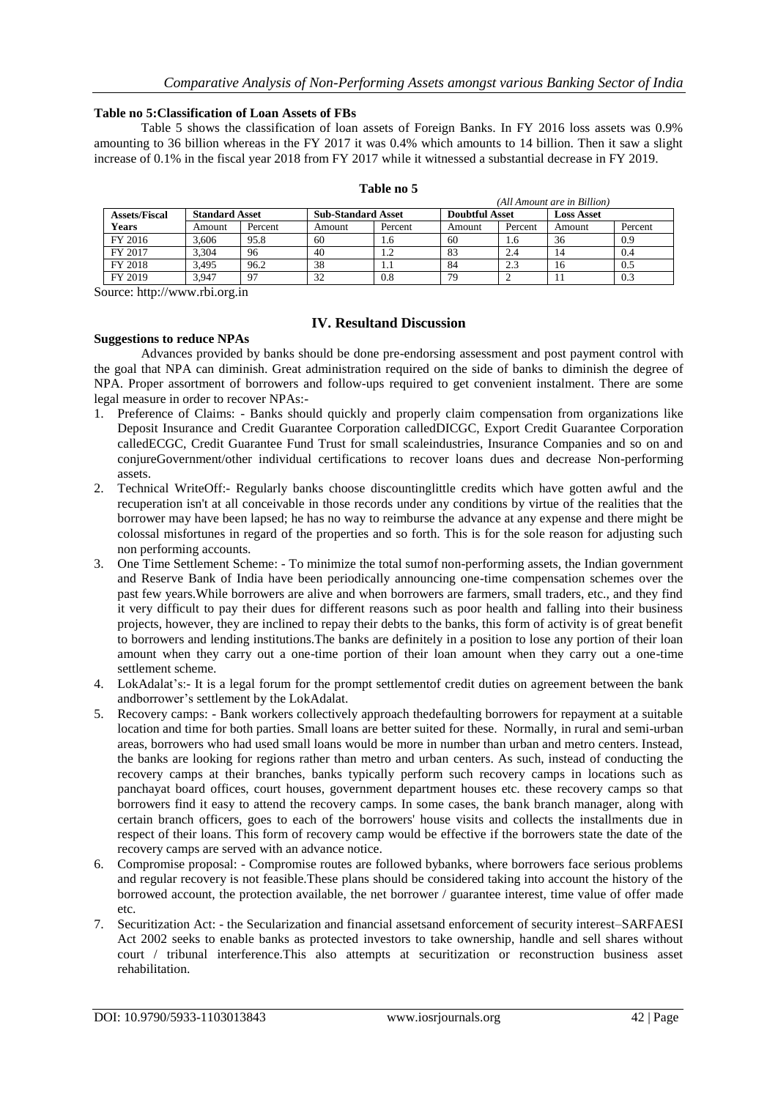*(All Amount are in Billion)*

## **Table no 5:Classification of Loan Assets of FBs**

Table 5 shows the classification of loan assets of Foreign Banks. In FY 2016 loss assets was 0.9% amounting to 36 billion whereas in the FY 2017 it was 0.4% which amounts to 14 billion. Then it saw a slight increase of 0.1% in the fiscal year 2018 from FY 2017 while it witnessed a substantial decrease in FY 2019.

|                      | (All Amount are in Billion) |         |                           |         |                       |         |                   |         |
|----------------------|-----------------------------|---------|---------------------------|---------|-----------------------|---------|-------------------|---------|
| <b>Assets/Fiscal</b> | <b>Standard Asset</b>       |         | <b>Sub-Standard Asset</b> |         | <b>Doubtful Asset</b> |         | <b>Loss Asset</b> |         |
| Years                | Amount                      | Percent | Amount                    | Percent | Amount                | Percent | Amount            | Percent |
| FY 2016              | 3.606                       | 95.8    | 60                        | 1.6     | 60                    | 1.6     | 36                | 0.9     |
| FY 2017              | 3.304                       | 96      | 40                        | 1.2     | 83                    | 2.4     | 14                | 0.4     |
| FY 2018              | 3.495                       | 96.2    | 38                        | 1.1     | -84                   | 2.3     | 16                | 0.5     |
| FY 2019              | 3.947                       | 97      | 32                        | 0.8     | 79                    |         |                   | 0.3     |

#### **Table no 5**

Source: http://www.rbi.org.in

# **IV. Resultand Discussion**

# **Suggestions to reduce NPAs**

Advances provided by banks should be done pre-endorsing assessment and post payment control with the goal that NPA can diminish. Great administration required on the side of banks to diminish the degree of NPA. Proper assortment of borrowers and follow-ups required to get convenient instalment. There are some legal measure in order to recover NPAs:-

- 1. Preference of Claims: Banks should quickly and properly claim compensation from organizations like Deposit Insurance and Credit Guarantee Corporation calledDICGC, Export Credit Guarantee Corporation calledECGC, Credit Guarantee Fund Trust for small scaleindustries, Insurance Companies and so on and conjureGovernment/other individual certifications to recover loans dues and decrease Non-performing assets.
- 2. Technical WriteOff:- Regularly banks choose discountinglittle credits which have gotten awful and the recuperation isn't at all conceivable in those records under any conditions by virtue of the realities that the borrower may have been lapsed; he has no way to reimburse the advance at any expense and there might be colossal misfortunes in regard of the properties and so forth. This is for the sole reason for adjusting such non performing accounts.
- 3. One Time Settlement Scheme: To minimize the total sumof non-performing assets, the Indian government and Reserve Bank of India have been periodically announcing one-time compensation schemes over the past few years.While borrowers are alive and when borrowers are farmers, small traders, etc., and they find it very difficult to pay their dues for different reasons such as poor health and falling into their business projects, however, they are inclined to repay their debts to the banks, this form of activity is of great benefit to borrowers and lending institutions.The banks are definitely in a position to lose any portion of their loan amount when they carry out a one-time portion of their loan amount when they carry out a one-time settlement scheme.
- 4. LokAdalat's:- It is a legal forum for the prompt settlementof credit duties on agreement between the bank andborrower's settlement by the LokAdalat.
- 5. Recovery camps: Bank workers collectively approach thedefaulting borrowers for repayment at a suitable location and time for both parties. Small loans are better suited for these. Normally, in rural and semi-urban areas, borrowers who had used small loans would be more in number than urban and metro centers. Instead, the banks are looking for regions rather than metro and urban centers. As such, instead of conducting the recovery camps at their branches, banks typically perform such recovery camps in locations such as panchayat board offices, court houses, government department houses etc. these recovery camps so that borrowers find it easy to attend the recovery camps. In some cases, the bank branch manager, along with certain branch officers, goes to each of the borrowers' house visits and collects the installments due in respect of their loans. This form of recovery camp would be effective if the borrowers state the date of the recovery camps are served with an advance notice.
- 6. Compromise proposal: Compromise routes are followed bybanks, where borrowers face serious problems and regular recovery is not feasible.These plans should be considered taking into account the history of the borrowed account, the protection available, the net borrower / guarantee interest, time value of offer made etc.
- 7. Securitization Act: the Secularization and financial assetsand enforcement of security interest–SARFAESI Act 2002 seeks to enable banks as protected investors to take ownership, handle and sell shares without court / tribunal interference.This also attempts at securitization or reconstruction business asset rehabilitation.